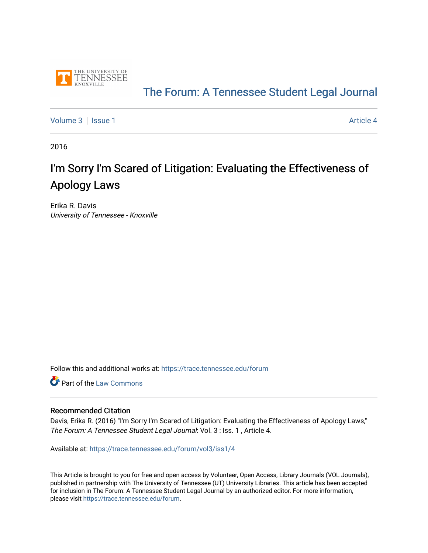

## [The Forum: A Tennessee Student Legal Journal](https://trace.tennessee.edu/forum)

[Volume 3](https://trace.tennessee.edu/forum/vol3) | [Issue 1](https://trace.tennessee.edu/forum/vol3/iss1) Article 4

2016

# I'm Sorry I'm Scared of Litigation: Evaluating the Effectiveness of Apology Laws

Erika R. Davis University of Tennessee - Knoxville

Follow this and additional works at: [https://trace.tennessee.edu/forum](https://trace.tennessee.edu/forum?utm_source=trace.tennessee.edu%2Fforum%2Fvol3%2Fiss1%2F4&utm_medium=PDF&utm_campaign=PDFCoverPages)

**Part of the [Law Commons](https://network.bepress.com/hgg/discipline/578?utm_source=trace.tennessee.edu%2Fforum%2Fvol3%2Fiss1%2F4&utm_medium=PDF&utm_campaign=PDFCoverPages)** 

#### Recommended Citation

Davis, Erika R. (2016) "I'm Sorry I'm Scared of Litigation: Evaluating the Effectiveness of Apology Laws," The Forum: A Tennessee Student Legal Journal: Vol. 3 : Iss. 1 , Article 4.

Available at: [https://trace.tennessee.edu/forum/vol3/iss1/4](https://trace.tennessee.edu/forum/vol3/iss1/4?utm_source=trace.tennessee.edu%2Fforum%2Fvol3%2Fiss1%2F4&utm_medium=PDF&utm_campaign=PDFCoverPages)

This Article is brought to you for free and open access by Volunteer, Open Access, Library Journals (VOL Journals), published in partnership with The University of Tennessee (UT) University Libraries. This article has been accepted for inclusion in The Forum: A Tennessee Student Legal Journal by an authorized editor. For more information, please visit <https://trace.tennessee.edu/forum>.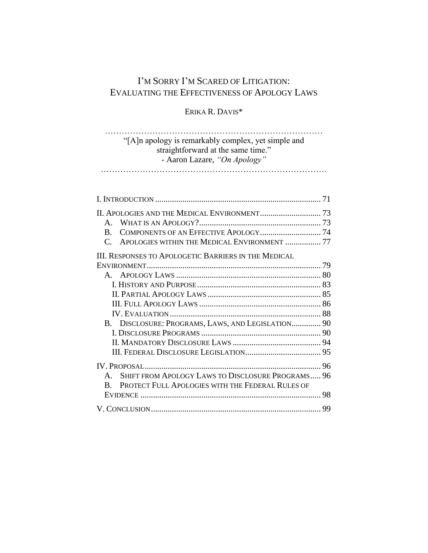## I'M SORRY I'M SCARED OF LITIGATION: EVALUATING THE EFFECTIVENESS OF APOLOGY LAWS

ERIKA R. DAVIS\*

## …………………………………………………………………… "[A]n apology is remarkably complex, yet simple and straightforward at the same time." - Aaron Lazare, *"On Apology"* ………………………………………………………………………

|                                                                  | 71 |
|------------------------------------------------------------------|----|
|                                                                  |    |
| A.                                                               |    |
| B.                                                               |    |
| APOLOGIES WITHIN THE MEDICAL ENVIRONMENT  77<br>$\mathcal{C}$    |    |
| <b>III. RESPONSES TO APOLOGETIC BARRIERS IN THE MEDICAL</b>      |    |
|                                                                  |    |
|                                                                  |    |
|                                                                  |    |
|                                                                  |    |
|                                                                  |    |
|                                                                  |    |
| B. DISCLOSURE: PROGRAMS, LAWS, AND LEGISLATION 90                |    |
|                                                                  |    |
|                                                                  |    |
|                                                                  |    |
|                                                                  | 96 |
| SHIFT FROM APOLOGY LAWS TO DISCLOSURE PROGRAMS 96<br>$A_{\cdot}$ |    |
| PROTECT FULL APOLOGIES WITH THE FEDERAL RULES OF<br>B.           |    |
|                                                                  | 98 |
|                                                                  | 99 |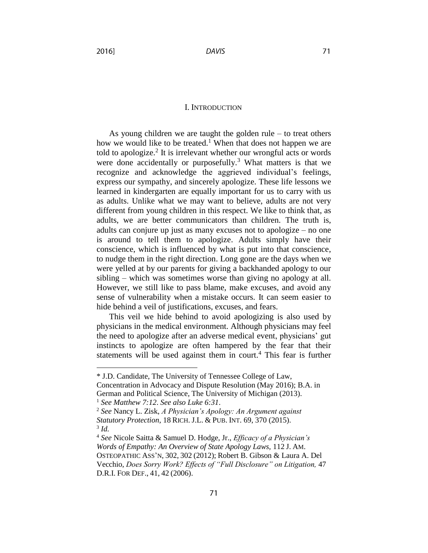#### I. INTRODUCTION

As young children we are taught the golden rule – to treat others how we would like to be treated.<sup>1</sup> When that does not happen we are told to apologize.<sup>2</sup> It is irrelevant whether our wrongful acts or words were done accidentally or purposefully.<sup>3</sup> What matters is that we recognize and acknowledge the aggrieved individual's feelings, express our sympathy, and sincerely apologize. These life lessons we learned in kindergarten are equally important for us to carry with us as adults. Unlike what we may want to believe, adults are not very different from young children in this respect. We like to think that, as adults, we are better communicators than children. The truth is, adults can conjure up just as many excuses not to apologize – no one is around to tell them to apologize. Adults simply have their conscience, which is influenced by what is put into that conscience, to nudge them in the right direction. Long gone are the days when we were yelled at by our parents for giving a backhanded apology to our sibling – which was sometimes worse than giving no apology at all. However, we still like to pass blame, make excuses, and avoid any sense of vulnerability when a mistake occurs. It can seem easier to hide behind a veil of justifications, excuses, and fears.

This veil we hide behind to avoid apologizing is also used by physicians in the medical environment. Although physicians may feel the need to apologize after an adverse medical event, physicians' gut instincts to apologize are often hampered by the fear that their statements will be used against them in court. <sup>4</sup> This fear is further

<sup>\*</sup> J.D. Candidate, The University of Tennessee College of Law, Concentration in Advocacy and Dispute Resolution (May 2016); B.A. in German and Political Science, The University of Michigan (2013).

<sup>1</sup> *See Matthew 7:12*. *See also Luke 6:31*.

<sup>2</sup> *See* Nancy L. Zisk, *A Physician's Apology: An Argument against Statutory Protection*, 18 RICH. J.L. & PUB. INT. 69, 370 (2015). 3 *Id.*

<sup>4</sup> *See* Nicole Saitta & Samuel D. Hodge, Jr., *Efficacy of a Physician's Words of Empathy: An Overview of State Apology Laws,* 112 J. AM. OSTEOPATHIC ASS'N, 302, 302 (2012); Robert B. Gibson & Laura A. Del Vecchio, *Does Sorry Work? Effects of "Full Disclosure" on Litigation,* 47 D.R.I. FOR DEF., 41, 42 (2006).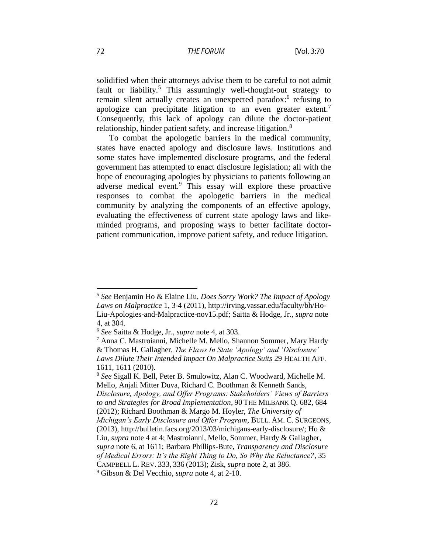#### **THE FORUM**

solidified when their attorneys advise them to be careful to not admit fault or liability.<sup>5</sup> This assumingly well-thought-out strategy to remain silent actually creates an unexpected paradox:<sup>6</sup> refusing to apologize can precipitate litigation to an even greater extent.<sup>7</sup> Consequently, this lack of apology can dilute the doctor-patient relationship, hinder patient safety, and increase litigation.<sup>8</sup>

To combat the apologetic barriers in the medical community, states have enacted apology and disclosure laws. Institutions and some states have implemented disclosure programs, and the federal government has attempted to enact disclosure legislation; all with the hope of encouraging apologies by physicians to patients following an adverse medical event.<sup>9</sup> This essay will explore these proactive responses to combat the apologetic barriers in the medical community by analyzing the components of an effective apology, evaluating the effectiveness of current state apology laws and likeminded programs, and proposing ways to better facilitate doctorpatient communication, improve patient safety, and reduce litigation.

<sup>5</sup> *See* Benjamin Ho & Elaine Liu, *Does Sorry Work? The Impact of Apology Laws on Malpractice* 1, 3-4 (2011), http://irving.vassar.edu/faculty/bh/Ho-Liu-Apologies-and-Malpractice-nov15.pdf; Saitta & Hodge, Jr., *supra* note 4, at 304.

<sup>6</sup> *See* Saitta & Hodge, Jr., *supra* note 4, at 303.

<sup>7</sup> Anna C. Mastroianni, Michelle M. Mello, Shannon Sommer, Mary Hardy & Thomas H. Gallagher, *The Flaws In State 'Apology' and 'Disclosure' Laws Dilute Their Intended Impact On Malpractice Suits* 29 HEALTH AFF. 1611, 1611 (2010).

<sup>8</sup> *See* Sigall K. Bell, Peter B. Smulowitz, Alan C. Woodward, Michelle M. Mello, Anjali Mitter Duva, Richard C. Boothman & Kenneth Sands, *Disclosure, Apology, and Offer Programs: Stakeholders' Views of Barriers to and Strategies for Broad Implementation*, 90 THE MILBANK Q. 682, 684 (2012); Richard Boothman & Margo M. Hoyler, *The University of Michigan's Early Disclosure and Offer Program*, BULL. AM. C. SURGEONS, (2013), http://bulletin.facs.org/2013/03/michigans-early-disclosure/; Ho & Liu, *supra* note 4 at 4; Mastroianni, Mello, Sommer, Hardy & Gallagher, *supra* note 6, at 1611; Barbara Phillips-Bute, *Transparency and Disclosure of Medical Errors: It's the Right Thing to Do, So Why the Reluctance?*, 35 CAMPBELL L. REV. 333, 336 (2013); Zisk, *supra* note 2, at 386. <sup>9</sup> Gibson & Del Vecchio, *supra* note 4, at 2-10.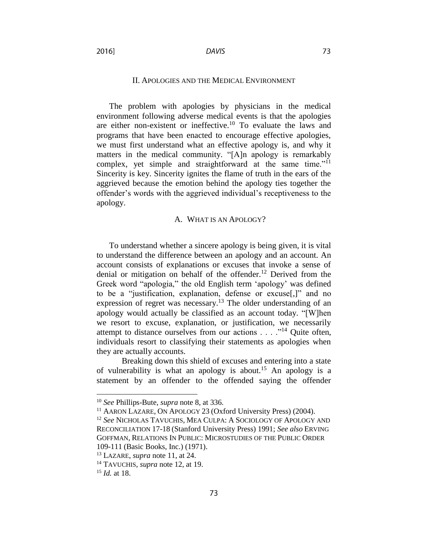#### II. APOLOGIES AND THE MEDICAL ENVIRONMENT

The problem with apologies by physicians in the medical environment following adverse medical events is that the apologies are either non-existent or ineffective.<sup>10</sup> To evaluate the laws and programs that have been enacted to encourage effective apologies, we must first understand what an effective apology is, and why it matters in the medical community. "[A]n apology is remarkably complex, yet simple and straightforward at the same time."<sup>11</sup> Sincerity is key. Sincerity ignites the flame of truth in the ears of the aggrieved because the emotion behind the apology ties together the offender's words with the aggrieved individual's receptiveness to the apology.

#### A. WHAT IS AN APOLOGY?

To understand whether a sincere apology is being given, it is vital to understand the difference between an apology and an account. An account consists of explanations or excuses that invoke a sense of denial or mitigation on behalf of the offender. <sup>12</sup> Derived from the Greek word "apologia," the old English term 'apology' was defined to be a "justification, explanation, defense or excuse[,]" and no expression of regret was necessary.<sup>13</sup> The older understanding of an apology would actually be classified as an account today. "[W]hen we resort to excuse, explanation, or justification, we necessarily attempt to distance ourselves from our actions . . . ."<sup>14</sup> Quite often, individuals resort to classifying their statements as apologies when they are actually accounts.

Breaking down this shield of excuses and entering into a state of vulnerability is what an apology is about.<sup>15</sup> An apology is a statement by an offender to the offended saying the offender

 $\overline{a}$ 

2016]

<sup>10</sup> *See* Phillips-Bute, *supra* note 8, at 336.

<sup>11</sup> AARON LAZARE, ON APOLOGY 23 (Oxford University Press) (2004).

<sup>12</sup> *See* NICHOLAS TAVUCHIS, MEA CULPA: A SOCIOLOGY OF APOLOGY AND RECONCILIATION 17-18 (Stanford University Press) 1991; *See also* ERVING GOFFMAN, RELATIONS IN PUBLIC: MICROSTUDIES OF THE PUBLIC ORDER 109-111 (Basic Books, Inc.) (1971).

<sup>13</sup> LAZARE, *supra* note 11, at 24.

<sup>14</sup> TAVUCHIS, *supra* note 12, at 19.

<sup>15</sup> *Id.* at 18.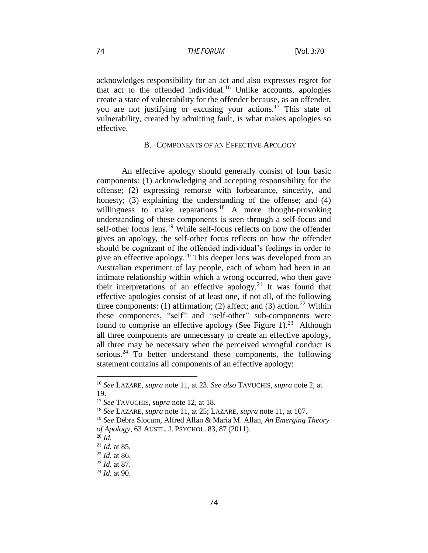acknowledges responsibility for an act and also expresses regret for that act to the offended individual.<sup>16</sup> Unlike accounts, apologies create a state of vulnerability for the offender because, as an offender, you are not justifying or excusing your actions. <sup>17</sup> This state of vulnerability, created by admitting fault, is what makes apologies so effective.

#### B. COMPONENTS OF AN EFFECTIVE APOLOGY

An effective apology should generally consist of four basic components: (1) acknowledging and accepting responsibility for the offense; (2) expressing remorse with forbearance, sincerity, and honesty; (3) explaining the understanding of the offense; and (4) willingness to make reparations.<sup>18</sup> A more thought-provoking understanding of these components is seen through a self-focus and self-other focus lens.<sup>19</sup> While self-focus reflects on how the offender gives an apology, the self-other focus reflects on how the offender should be cognizant of the offended individual's feelings in order to give an effective apology.<sup>20</sup> This deeper lens was developed from an Australian experiment of lay people, each of whom had been in an intimate relationship within which a wrong occurred, who then gave their interpretations of an effective apology. <sup>21</sup> It was found that effective apologies consist of at least one, if not all, of the following three components: (1) affirmation; (2) affect; and (3) action.<sup>22</sup> Within these components, "self" and "self-other" sub-components were found to comprise an effective apology (See Figure 1).<sup>23</sup> Although all three components are unnecessary to create an effective apology, all three may be necessary when the perceived wrongful conduct is serious.<sup>24</sup> To better understand these components, the following statement contains all components of an effective apology:

<sup>16</sup> *See* LAZARE, *supra* note 11, at 23. *See also* TAVUCHIS, *supra* note 2, at 19.

<sup>17</sup> *See* TAVUCHIS, *supra* note 12, at 18.

<sup>18</sup> *See* LAZARE, *supra* note 11, at 25; LAZARE, *supra* note 11, at 107.

<sup>19</sup> *See* Debra Slocum, Alfred Allan & Maria M. Allan, *An Emerging Theory of Apology*, 63 AUSTL. J. PSYCHOL. 83, 87 (2011).

 $^{20}$  *Id.* 

<sup>21</sup> *Id.* at 85.

<sup>22</sup> *Id.* at 86.

<sup>23</sup> *Id.* at 87.

<sup>24</sup> *Id.* at 90.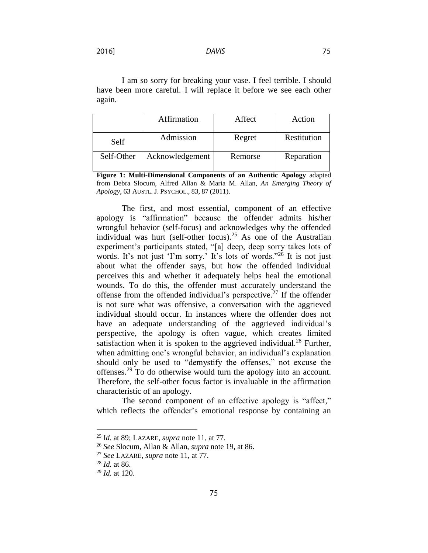**DAVIS** 

2016]

I am so sorry for breaking your vase. I feel terrible. I should have been more careful. I will replace it before we see each other again.

|            | Affirmation     | Affect  | Action      |
|------------|-----------------|---------|-------------|
| Self       | Admission       | Regret  | Restitution |
| Self-Other | Acknowledgement | Remorse | Reparation  |

**Figure 1: Multi-Dimensional Components of an Authentic Apology** adapted from Debra Slocum, Alfred Allan & Maria M. Allan, *An Emerging Theory of Apology*, 63 AUSTL. J. PSYCHOL., 83, 87 (2011).

The first, and most essential, component of an effective apology is "affirmation" because the offender admits his/her wrongful behavior (self-focus) and acknowledges why the offended individual was hurt (self-other focus). <sup>25</sup> As one of the Australian experiment's participants stated, "[a] deep, deep sorry takes lots of words. It's not just 'I'm sorry.' It's lots of words."<sup>26</sup> It is not just about what the offender says, but how the offended individual perceives this and whether it adequately helps heal the emotional wounds. To do this, the offender must accurately understand the offense from the offended individual's perspective. <sup>27</sup> If the offender is not sure what was offensive, a conversation with the aggrieved individual should occur. In instances where the offender does not have an adequate understanding of the aggrieved individual's perspective, the apology is often vague, which creates limited satisfaction when it is spoken to the aggrieved individual.<sup>28</sup> Further, when admitting one's wrongful behavior, an individual's explanation should only be used to "demystify the offenses," not excuse the offenses.<sup>29</sup> To do otherwise would turn the apology into an account. Therefore, the self-other focus factor is invaluable in the affirmation characteristic of an apology.

The second component of an effective apology is "affect," which reflects the offender's emotional response by containing an

<sup>25</sup> I*d.* at 89; LAZARE, *supra* note 11, at 77.

<sup>26</sup> *See* Slocum, Allan & Allan, *supra* note 19, at 86.

<sup>27</sup> *See* LAZARE, *supra* note 11, at 77.

<sup>28</sup> *Id.* at 86.

<sup>29</sup> *Id.* at 120.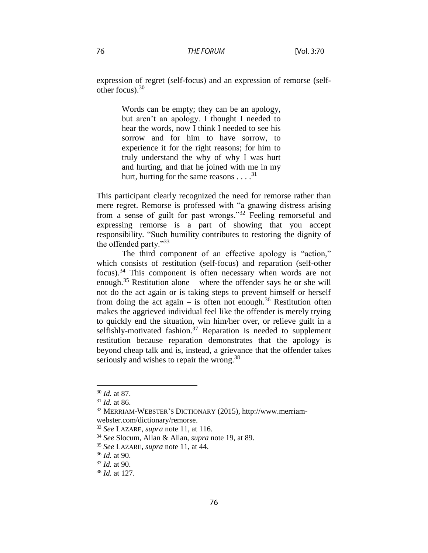expression of regret (self-focus) and an expression of remorse (selfother focus). $30$ 

> Words can be empty; they can be an apology, but aren't an apology. I thought I needed to hear the words, now I think I needed to see his sorrow and for him to have sorrow, to experience it for the right reasons; for him to truly understand the why of why I was hurt and hurting, and that he joined with me in my hurt, hurting for the same reasons  $\dots$ <sup>31</sup>

This participant clearly recognized the need for remorse rather than mere regret. Remorse is professed with "a gnawing distress arising from a sense of guilt for past wrongs."<sup>32</sup> Feeling remorseful and expressing remorse is a part of showing that you accept responsibility. "Such humility contributes to restoring the dignity of the offended party."<sup>33</sup>

The third component of an effective apology is "action," which consists of restitution (self-focus) and reparation (self-other focus). <sup>34</sup> This component is often necessary when words are not enough.<sup>35</sup> Restitution alone – where the offender says he or she will not do the act again or is taking steps to prevent himself or herself from doing the act again  $-$  is often not enough.<sup>36</sup> Restitution often makes the aggrieved individual feel like the offender is merely trying to quickly end the situation, win him/her over, or relieve guilt in a selfishly-motivated fashion.<sup>37</sup> Reparation is needed to supplement restitution because reparation demonstrates that the apology is beyond cheap talk and is, instead, a grievance that the offender takes seriously and wishes to repair the wrong.<sup>38</sup>

<sup>30</sup> *Id.* at 87.

<sup>31</sup> *Id.* at 86.

<sup>32</sup> MERRIAM-WEBSTER'S DICTIONARY (2015), http://www.merriamwebster.com/dictionary/remorse.

<sup>33</sup> *See* LAZARE, *supra* note 11, at 116.

<sup>34</sup> *See* Slocum, Allan & Allan, *supra* note 19, at 89.

<sup>35</sup> *See* LAZARE, *supra* note 11, at 44.

<sup>36</sup> *Id.* at 90.

<sup>37</sup> *Id.* at 90.

<sup>38</sup> *Id.* at 127.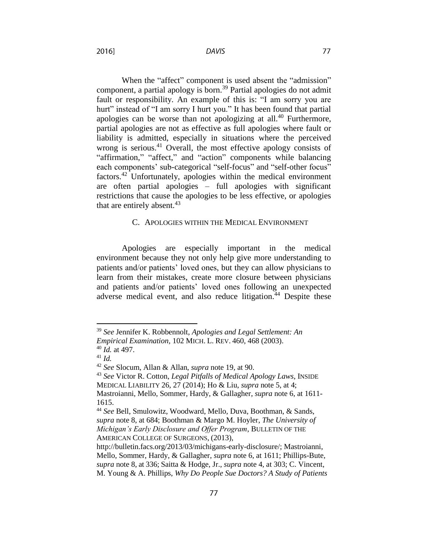**DAVIS** 

When the "affect" component is used absent the "admission" component, a partial apology is born.<sup>39</sup> Partial apologies do not admit fault or responsibility. An example of this is: "I am sorry you are hurt" instead of "I am sorry I hurt you." It has been found that partial apologies can be worse than not apologizing at all. $40$  Furthermore, partial apologies are not as effective as full apologies where fault or liability is admitted, especially in situations where the perceived wrong is serious.<sup>41</sup> Overall, the most effective apology consists of "affirmation," "affect," and "action" components while balancing each components' sub-categorical "self-focus" and "self-other focus" factors. <sup>42</sup> Unfortunately, apologies within the medical environment are often partial apologies – full apologies with significant restrictions that cause the apologies to be less effective, or apologies

#### C. APOLOGIES WITHIN THE MEDICAL ENVIRONMENT

Apologies are especially important in the medical environment because they not only help give more understanding to patients and/or patients' loved ones, but they can allow physicians to learn from their mistakes, create more closure between physicians and patients and/or patients' loved ones following an unexpected adverse medical event, and also reduce litigation. $44$  Despite these

that are entirely absent. $43$ 

<sup>39</sup> *See* Jennifer K. Robbennolt, *Apologies and Legal Settlement: An Empirical Examination,* 102 MICH. L. REV. 460, 468 (2003).

<sup>40</sup> *Id.* at 497.

<sup>41</sup> *Id.*

<sup>42</sup> *See* Slocum, Allan & Allan, *supra* note 19, at 90.

<sup>43</sup> *See* Victor R. Cotton, *Legal Pitfalls of Medical Apology Laws*, INSIDE MEDICAL LIABILITY 26, 27 (2014); Ho & Liu, *supra* note 5, at 4; Mastroianni, Mello, Sommer, Hardy, & Gallagher, *supra* note 6, at 1611-

<sup>1615.</sup> 

<sup>44</sup> *See* Bell, Smulowitz, Woodward, Mello, Duva, Boothman, & Sands, *supra* note 8, at 684; Boothman & Margo M. Hoyler, *The University of Michigan's Early Disclosure and Offer Program*, BULLETIN OF THE AMERICAN COLLEGE OF SURGEONS, (2013),

http://bulletin.facs.org/2013/03/michigans-early-disclosure/; Mastroianni, Mello, Sommer, Hardy, & Gallagher, *supra* note 6, at 1611; Phillips-Bute, *supra* note 8, at 336; Saitta & Hodge, Jr., *supra* note 4, at 303; C. Vincent, M. Young & A. Phillips, *Why Do People Sue Doctors? A Study of Patients*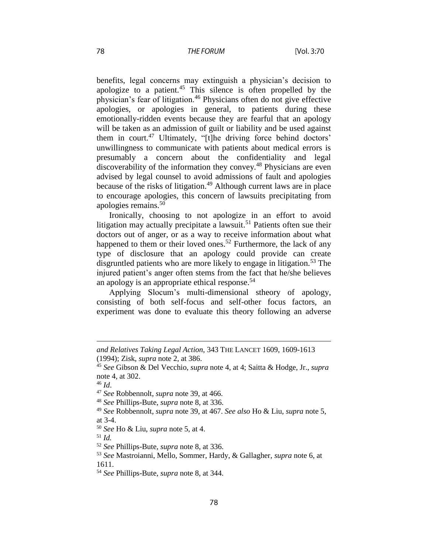benefits, legal concerns may extinguish a physician's decision to apologize to a patient.<sup>45</sup> This silence is often propelled by the physician's fear of litigation.<sup>46</sup> Physicians often do not give effective apologies, or apologies in general, to patients during these emotionally-ridden events because they are fearful that an apology will be taken as an admission of guilt or liability and be used against them in court. <sup>47</sup> Ultimately, "[t]he driving force behind doctors' unwillingness to communicate with patients about medical errors is presumably a concern about the confidentiality and legal discoverability of the information they convey.<sup>48</sup> Physicians are even advised by legal counsel to avoid admissions of fault and apologies because of the risks of litigation.<sup>49</sup> Although current laws are in place to encourage apologies, this concern of lawsuits precipitating from apologies remains. 50

Ironically, choosing to not apologize in an effort to avoid litigation may actually precipitate a lawsuit.<sup>51</sup> Patients often sue their doctors out of anger, or as a way to receive information about what happened to them or their loved ones.<sup>52</sup> Furthermore, the lack of any type of disclosure that an apology could provide can create disgruntled patients who are more likely to engage in litigation.<sup>53</sup> The injured patient's anger often stems from the fact that he/she believes an apology is an appropriate ethical response.<sup>54</sup>

Applying Slocum's multi-dimensional stheory of apology, consisting of both self-focus and self-other focus factors, an experiment was done to evaluate this theory following an adverse

 $\overline{\phantom{a}}$ 

<sup>51</sup> *Id.*

*and Relatives Taking Legal Action*, 343 THE LANCET 1609, 1609-1613 (1994); Zisk, *supra* note 2, at 386.

<sup>45</sup> *See* Gibson & Del Vecchio, *supra* note 4, at 4; Saitta & Hodge, Jr., *supra*  note 4, at 302.

<sup>46</sup> *Id*.

<sup>47</sup> *See* Robbennolt, *supra* note 39, at 466.

<sup>48</sup> *See* Phillips-Bute, *supra* note 8, at 336.

<sup>49</sup> *See* Robbennolt, *supra* note 39, at 467. *See also* Ho & Liu, *supra* note 5, at 3-4.

<sup>50</sup> *See* Ho & Liu, *supra* note 5, at 4.

<sup>52</sup> *See* Phillips-Bute, *supra* note 8, at 336.

<sup>53</sup> *See* Mastroianni, Mello, Sommer, Hardy, & Gallagher, *supra* note 6, at 1611.

<sup>54</sup> *See* Phillips-Bute, *supra* note 8, at 344.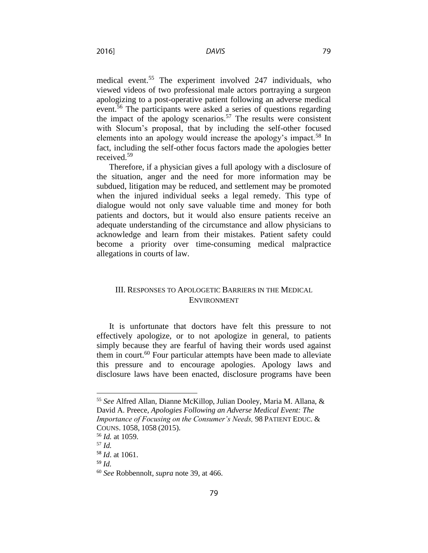medical event. <sup>55</sup> The experiment involved 247 individuals, who viewed videos of two professional male actors portraying a surgeon apologizing to a post-operative patient following an adverse medical event.<sup>56</sup> The participants were asked a series of questions regarding the impact of the apology scenarios.<sup>57</sup> The results were consistent with Slocum's proposal, that by including the self-other focused elements into an apology would increase the apology's impact.<sup>58</sup> In fact, including the self-other focus factors made the apologies better received.<sup>59</sup>

Therefore, if a physician gives a full apology with a disclosure of the situation, anger and the need for more information may be subdued, litigation may be reduced, and settlement may be promoted when the injured individual seeks a legal remedy. This type of dialogue would not only save valuable time and money for both patients and doctors, but it would also ensure patients receive an adequate understanding of the circumstance and allow physicians to acknowledge and learn from their mistakes. Patient safety could become a priority over time-consuming medical malpractice allegations in courts of law.

### III. RESPONSES TO APOLOGETIC BARRIERS IN THE MEDICAL ENVIRONMENT

It is unfortunate that doctors have felt this pressure to not effectively apologize, or to not apologize in general, to patients simply because they are fearful of having their words used against them in court.<sup>60</sup> Four particular attempts have been made to alleviate this pressure and to encourage apologies. Apology laws and disclosure laws have been enacted, disclosure programs have been

 $\overline{a}$ 

2016]

<sup>55</sup> *See* Alfred Allan, Dianne McKillop, Julian Dooley, Maria M. Allana, & David A. Preece, *Apologies Following an Adverse Medical Event: The Importance of Focusing on the Consumer's Needs,* 98 PATIENT EDUC. & COUNS. 1058, 1058 (2015).

<sup>56</sup> *Id.* at 1059.

<sup>57</sup> *Id.*

<sup>58</sup> *Id*. at 1061.

<sup>59</sup> *Id.*

<sup>60</sup> *See* Robbennolt, *supra* note 39, at 466.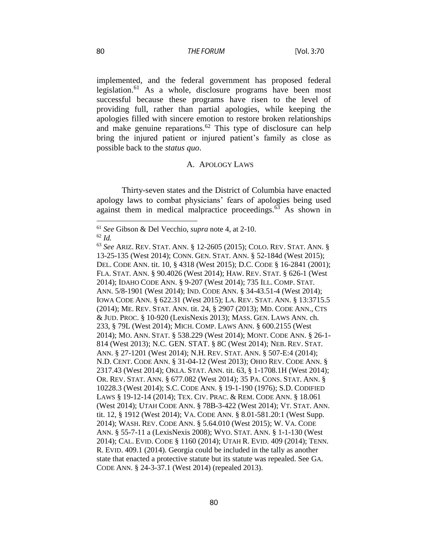#### **THE FORUM**

implemented, and the federal government has proposed federal legislation.<sup>61</sup> As a whole, disclosure programs have been most successful because these programs have risen to the level of providing full, rather than partial apologies, while keeping the apologies filled with sincere emotion to restore broken relationships and make genuine reparations. <sup>62</sup> This type of disclosure can help bring the injured patient or injured patient's family as close as possible back to the *status quo*.

#### A. APOLOGY LAWS

Thirty-seven states and the District of Columbia have enacted apology laws to combat physicians' fears of apologies being used against them in medical malpractice proceedings. $^{63}$  As shown in

<sup>61</sup> *See* Gibson & Del Vecchio, *supra* note 4, at 2-10. <sup>62</sup> *Id.*

<sup>63</sup> *See* ARIZ. REV. STAT. ANN. § 12-2605 (2015); COLO. REV. STAT. ANN. § 13-25-135 (West 2014); CONN. GEN. STAT. ANN. § 52-184d (West 2015); DEL. CODE ANN. tit. 10, § 4318 (West 2015); D.C. CODE § 16-2841 (2001); FLA. STAT. ANN. § 90.4026 (West 2014); HAW. REV. STAT. § 626-1 (West 2014); IDAHO CODE ANN. § 9-207 (West 2014); 735 ILL. COMP. STAT. ANN. 5/8-1901 (West 2014); IND. CODE ANN. § 34-43.51-4 (West 2014); IOWA CODE ANN. § 622.31 (West 2015); LA. REV. STAT. ANN. § 13:3715.5 (2014); ME. REV. STAT. ANN. tit. 24, § 2907 (2013); MD. CODE ANN., CTS & JUD. PROC. § 10-920 (LexisNexis 2013); MASS. GEN. LAWS ANN. ch. 233, § 79L (West 2014); MICH. COMP. LAWS ANN. § 600.2155 (West 2014); MO. ANN. STAT. § 538.229 (West 2014); MONT. CODE ANN. § 26-1- 814 (West 2013); N.C. GEN. STAT. § 8C (West 2014); NEB. REV. STAT. ANN. § 27-1201 (West 2014); N.H. REV. STAT. ANN. § 507-E:4 (2014); N.D. CENT. CODE ANN. § 31-04-12 (West 2013); OHIO REV. CODE ANN. § 2317.43 (West 2014); OKLA. STAT. ANN. tit. 63, § 1-1708.1H (West 2014); OR. REV. STAT. ANN. § 677.082 (West 2014); 35 PA. CONS. STAT. ANN. § 10228.3 (West 2014); S.C. CODE ANN. § 19-1-190 (1976); S.D. CODIFIED LAWS § 19-12-14 (2014); TEX. CIV. PRAC. & REM. CODE ANN. § 18.061 (West 2014); UTAH CODE ANN. § 78B-3-422 (West 2014); VT. STAT. ANN. tit. 12, § 1912 (West 2014); VA. CODE ANN. § 8.01-581.20:1 (West Supp. 2014); WASH. REV. CODE ANN. § 5.64.010 (West 2015); W. VA. CODE ANN. § 55-7-11 a (LexisNexis 2008); WYO. STAT. ANN. § 1-1-130 (West 2014); CAL. EVID. CODE § 1160 (2014); UTAH R. EVID. 409 (2014); TENN. R. EVID. 409.1 (2014). Georgia could be included in the tally as another state that enacted a protective statute but its statute was repealed. See GA. CODE ANN. § 24-3-37.1 (West 2014) (repealed 2013).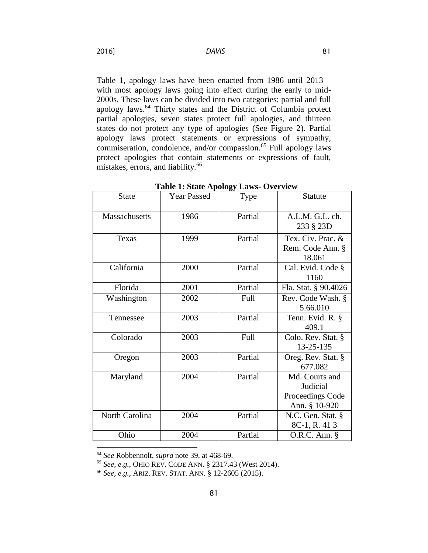**DAVIS** 

Table 1, apology laws have been enacted from 1986 until 2013 – with most apology laws going into effect during the early to mid-2000s. These laws can be divided into two categories: partial and full apology laws.<sup>64</sup> Thirty states and the District of Columbia protect partial apologies, seven states protect full apologies, and thirteen states do not protect any type of apologies (See Figure 2). Partial apology laws protect statements or expressions of sympathy, commiseration, condolence, and/or compassion.<sup>65</sup> Full apology laws protect apologies that contain statements or expressions of fault, mistakes, errors, and liability.<sup>66</sup>

| <b>State</b>         | <b>Year Passed</b> | Type    | <b>Statute</b>                                                  |
|----------------------|--------------------|---------|-----------------------------------------------------------------|
| <b>Massachusetts</b> | 1986               | Partial | A.L.M. G.L. ch.<br>233 § 23D                                    |
| Texas                | 1999               | Partial | Tex. Civ. Prac. &<br>Rem. Code Ann. §<br>18.061                 |
| California           | 2000               | Partial | Cal. Evid. Code §<br>1160                                       |
| Florida              | 2001               | Partial | Fla. Stat. § 90.4026                                            |
| Washington           | 2002               | Full    | Rev. Code Wash. §<br>5.66.010                                   |
| Tennessee            | 2003               | Partial | Tenn. Evid. R. §<br>409.1                                       |
| Colorado             | 2003               | Full    | Colo. Rev. Stat. §<br>13-25-135                                 |
| Oregon               | 2003               | Partial | Oreg. Rev. Stat. §<br>677.082                                   |
| Maryland             | 2004               | Partial | Md. Courts and<br>Judicial<br>Proceedings Code<br>Ann. § 10-920 |
| North Carolina       | 2004               | Partial | N.C. Gen. Stat. §<br>8C-1, R. 413                               |
| Ohio                 | 2004               | Partial | $O.R.C.$ Ann. $\S$                                              |

**Table 1: State Apology Laws- Overview**

 $\overline{a}$ 

2016]

<sup>64</sup> *See* Robbennolt, *supra* note 39, at 468-69.

*<sup>65</sup> See, e.g.*, OHIO REV. CODE ANN. § 2317.43 (West 2014).

<sup>66</sup> *See, e.g.*, ARIZ. REV. STAT. ANN. § 12-2605 (2015).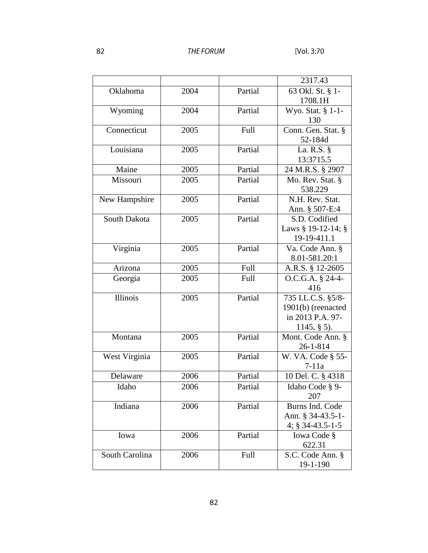|                |      |         | 2317.43            |
|----------------|------|---------|--------------------|
| Oklahoma       | 2004 | Partial | 63 Okl. St. § 1-   |
|                |      |         | 1708.1H            |
| Wyoming        | 2004 | Partial | Wyo. Stat. § 1-1-  |
|                |      |         | 130                |
| Connecticut    | 2005 | Full    | Conn. Gen. Stat. § |
|                |      |         | 52-184d            |
| Louisiana      | 2005 | Partial | La. R.S. §         |
|                |      |         | 13:3715.5          |
| Maine          | 2005 | Partial | 24 M.R.S. § 2907   |
| Missouri       | 2005 | Partial | Mo. Rev. Stat. §   |
|                |      |         | 538.229            |
| New Hampshire  | 2005 | Partial | N.H. Rev. Stat.    |
|                |      |         | Ann. § 507-E:4     |
| South Dakota   | 2005 | Partial | S.D. Codified      |
|                |      |         | Laws § 19-12-14; § |
|                |      |         | 19-19-411.1        |
| Virginia       | 2005 | Partial | Va. Code Ann. §    |
|                |      |         | 8.01-581.20:1      |
| Arizona        | 2005 | Full    | A.R.S. § 12-2605   |
| Georgia        | 2005 | Full    | O.C.G.A. § 24-4-   |
|                |      |         | 416                |
| Illinois       | 2005 | Partial | 735 I.L.C.S. §5/8- |
|                |      |         | 1901(b) (reenacted |
|                |      |         | in 2013 P.A. 97-   |
|                |      |         | $1145, § 5$ .      |
| Montana        | 2005 | Partial | Mont. Code Ann. §  |
|                |      |         | $26 - 1 - 814$     |
| West Virginia  | 2005 | Partial | W. VA. Code § 55-  |
|                |      |         | $7-11a$            |
| Delaware       | 2006 | Partial | 10 Del. C. § 4318  |
| Idaho          | 2006 | Partial | Idaho Code § 9-    |
|                |      |         | 207                |
| Indiana        | 2006 | Partial | Burns Ind. Code    |
|                |      |         | Ann. § 34-43.5-1-  |
|                |      |         | 4; $§$ 34-43.5-1-5 |
| Iowa           | 2006 | Partial | Iowa Code §        |
|                |      |         | 622.31             |
| South Carolina | 2006 | Full    | S.C. Code Ann. §   |
|                |      |         | 19-1-190           |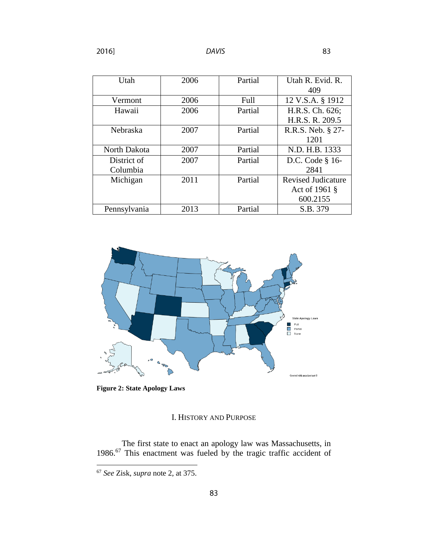| Utah         | 2006 | Partial | Utah R. Evid. R.          |
|--------------|------|---------|---------------------------|
|              |      |         | 409                       |
| Vermont      | 2006 | Full    | 12 V.S.A. § 1912          |
| Hawaii       | 2006 | Partial | H.R.S. Ch. 626;           |
|              |      |         | H.R.S. R. 209.5           |
| Nebraska     | 2007 | Partial | R.R.S. Neb. § 27-         |
|              |      |         | 1201                      |
| North Dakota | 2007 | Partial | N.D. H.B. 1333            |
| District of  | 2007 | Partial | D.C. Code § 16-           |
| Columbia     |      |         | 2841                      |
| Michigan     | 2011 | Partial | <b>Revised Judicature</b> |
|              |      |         | Act of 1961 §             |
|              |      |         | 600.2155                  |
| Pennsylvania | 2013 | Partial | S.B. 379                  |



**Figure 2: State Apology Laws**

## I. HISTORY AND PURPOSE

The first state to enact an apology law was Massachusetts, in 1986.<sup>67</sup> This enactment was fueled by the tragic traffic accident of

<sup>67</sup> *See* Zisk, *supra* note 2, at 375.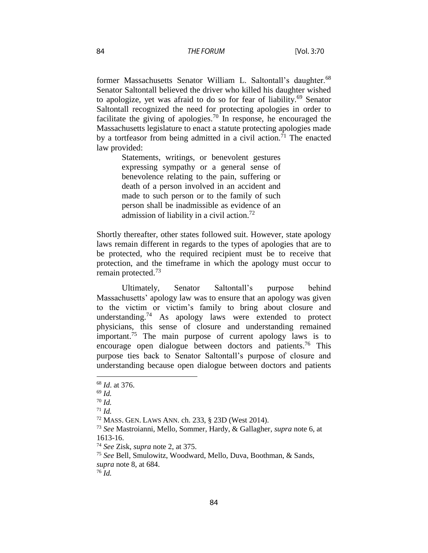former Massachusetts Senator William L. Saltontall's daughter.<sup>68</sup> Senator Saltontall believed the driver who killed his daughter wished to apologize, yet was afraid to do so for fear of liability. <sup>69</sup> Senator Saltontall recognized the need for protecting apologies in order to facilitate the giving of apologies.<sup>70</sup> In response, he encouraged the Massachusetts legislature to enact a statute protecting apologies made by a tortfeasor from being admitted in a civil action.<sup>71</sup> The enacted law provided:

> Statements, writings, or benevolent gestures expressing sympathy or a general sense of benevolence relating to the pain, suffering or death of a person involved in an accident and made to such person or to the family of such person shall be inadmissible as evidence of an admission of liability in a civil action.<sup>72</sup>

Shortly thereafter, other states followed suit. However, state apology laws remain different in regards to the types of apologies that are to be protected, who the required recipient must be to receive that protection, and the timeframe in which the apology must occur to remain protected.<sup>73</sup>

Ultimately, Senator Saltontall's purpose behind Massachusetts' apology law was to ensure that an apology was given to the victim or victim's family to bring about closure and understanding.<sup>74</sup> As apology laws were extended to protect physicians, this sense of closure and understanding remained important.<sup>75</sup> The main purpose of current apology laws is to encourage open dialogue between doctors and patients.<sup>76</sup> This purpose ties back to Senator Saltontall's purpose of closure and understanding because open dialogue between doctors and patients

<sup>68</sup> *Id*. at 376.

<sup>69</sup> *Id.*

<sup>70</sup> *Id.*

 $71$  *Id.* 

<sup>72</sup> MASS. GEN. LAWS ANN. ch. 233, § 23D (West 2014).

<sup>73</sup> *See* Mastroianni, Mello, Sommer, Hardy, & Gallagher, *supra* note 6, at 1613-16.

<sup>74</sup> *See* Zisk, *supra* note 2, at 375.

<sup>75</sup> *See* Bell, Smulowitz, Woodward, Mello, Duva, Boothman, & Sands, *supra* note 8, at 684.

<sup>76</sup> *Id.*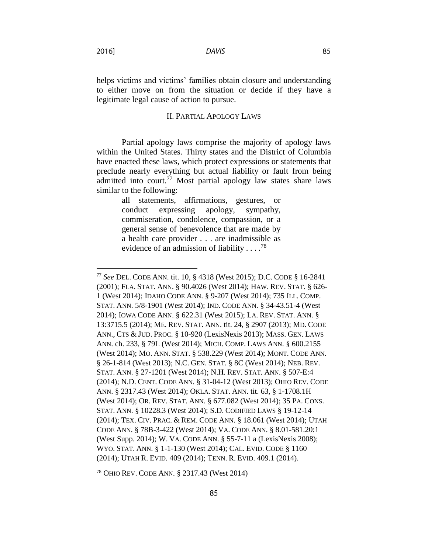helps victims and victims' families obtain closure and understanding to either move on from the situation or decide if they have a legitimate legal cause of action to pursue.

#### II. PARTIAL APOLOGY LAWS

Partial apology laws comprise the majority of apology laws within the United States. Thirty states and the District of Columbia have enacted these laws, which protect expressions or statements that preclude nearly everything but actual liability or fault from being admitted into court. <sup>77</sup> Most partial apology law states share laws similar to the following:

> all statements, affirmations, gestures, or conduct expressing apology, sympathy, commiseration, condolence, compassion, or a general sense of benevolence that are made by a health care provider . . . are inadmissible as evidence of an admission of liability  $\ldots$ <sup>78</sup>

<sup>77</sup> *See* DEL. CODE ANN. tit. 10, § 4318 (West 2015); D.C. CODE § 16-2841 (2001); FLA. STAT. ANN. § 90.4026 (West 2014); HAW. REV. STAT. § 626- 1 (West 2014); IDAHO CODE ANN. § 9-207 (West 2014); 735 ILL. COMP. STAT. ANN. 5/8-1901 (West 2014); IND. CODE ANN. § 34-43.51-4 (West 2014); IOWA CODE ANN. § 622.31 (West 2015); LA. REV. STAT. ANN. § 13:3715.5 (2014); ME. REV. STAT. ANN. tit. 24, § 2907 (2013); MD. CODE ANN., CTS & JUD. PROC. § 10-920 (LexisNexis 2013); MASS. GEN. LAWS ANN. ch. 233, § 79L (West 2014); MICH. COMP. LAWS ANN. § 600.2155 (West 2014); MO. ANN. STAT. § 538.229 (West 2014); MONT. CODE ANN. § 26-1-814 (West 2013); N.C. GEN. STAT. § 8C (West 2014); NEB. REV. STAT. ANN. § 27-1201 (West 2014); N.H. REV. STAT. ANN. § 507-E:4 (2014); N.D. CENT. CODE ANN. § 31-04-12 (West 2013); OHIO REV. CODE ANN. § 2317.43 (West 2014); OKLA. STAT. ANN. tit. 63, § 1-1708.1H (West 2014); OR. REV. STAT. ANN. § 677.082 (West 2014); 35 PA. CONS. STAT. ANN. § 10228.3 (West 2014); S.D. CODIFIED LAWS § 19-12-14 (2014); TEX. CIV. PRAC. & REM. CODE ANN. § 18.061 (West 2014); UTAH CODE ANN. § 78B-3-422 (West 2014); VA. CODE ANN. § 8.01-581.20:1 (West Supp. 2014); W. VA. CODE ANN. § 55-7-11 a (LexisNexis 2008); WYO. STAT. ANN. § 1-1-130 (West 2014); CAL. EVID. CODE § 1160 (2014); UTAH R. EVID. 409 (2014); TENN. R. EVID. 409.1 (2014).

<sup>78</sup> OHIO REV. CODE ANN. § 2317.43 (West 2014)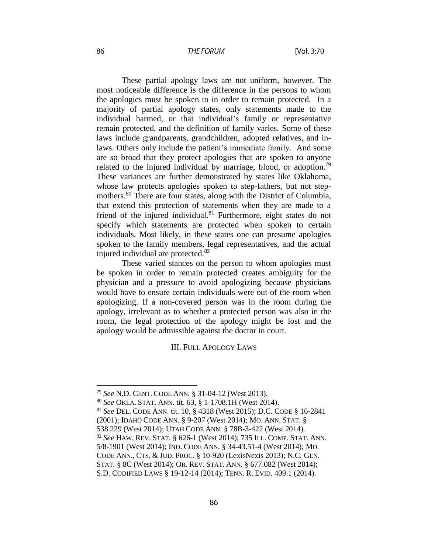#### **THE FORUM**

These partial apology laws are not uniform, however. The most noticeable difference is the difference in the persons to whom the apologies must be spoken to in order to remain protected. In a majority of partial apology states, only statements made to the individual harmed, or that individual's family or representative remain protected, and the definition of family varies. Some of these laws include grandparents, grandchildren, adopted relatives, and inlaws. Others only include the patient's immediate family. And some are so broad that they protect apologies that are spoken to anyone related to the injured individual by marriage, blood, or adoption.<sup>79</sup> These variances are further demonstrated by states like Oklahoma, whose law protects apologies spoken to step-fathers, but not stepmothers.<sup>80</sup> There are four states, along with the District of Columbia, that extend this protection of statements when they are made to a friend of the injured individual. $81$  Furthermore, eight states do not specify which statements are protected when spoken to certain individuals. Most likely, in these states one can presume apologies spoken to the family members, legal representatives, and the actual injured individual are protected.<sup>82</sup>

These varied stances on the person to whom apologies must be spoken in order to remain protected creates ambiguity for the physician and a pressure to avoid apologizing because physicians would have to ensure certain individuals were out of the room when apologizing. If a non-covered person was in the room during the apology, irrelevant as to whether a protected person was also in the room, the legal protection of the apology might be lost and the apology would be admissible against the doctor in court.

III. FULL APOLOGY LAWS

<sup>79</sup> *See* N.D. CENT. CODE ANN. § 31-04-12 (West 2013).

<sup>80</sup> *See* OKLA. STAT. ANN. tit. 63, § 1-1708.1H (West 2014).

<sup>81</sup> *See* DEL. CODE ANN. tit. 10, § 4318 (West 2015); D.C. CODE § 16-2841 (2001); IDAHO CODE ANN. § 9-207 (West 2014); MO. ANN. STAT. § 538.229 (West 2014); UTAH CODE ANN. § 78B-3-422 (West 2014). <sup>82</sup> *See* HAW. REV. STAT. § 626-1 (West 2014); 735 ILL. COMP. STAT. ANN. 5/8-1901 (West 2014); IND. CODE ANN. § 34-43.51-4 (West 2014); MD. CODE ANN., CTS. & JUD. PROC. § 10-920 (LexisNexis 2013); N.C. GEN. STAT. § 8C (West 2014); OR. REV. STAT. ANN. § 677.082 (West 2014); S.D. CODIFIED LAWS § 19-12-14 (2014); TENN. R. EVID. 409.1 (2014).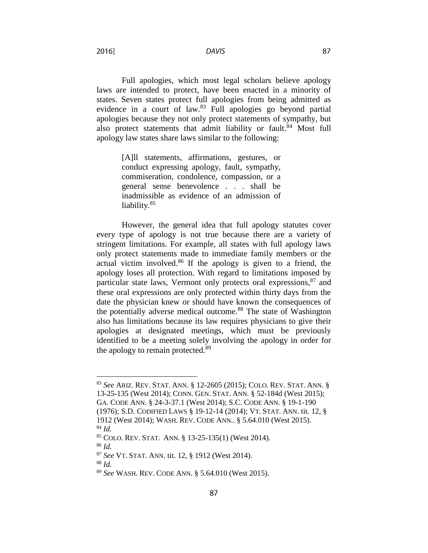**DAVIS** 

Full apologies, which most legal scholars believe apology laws are intended to protect, have been enacted in a minority of states. Seven states protect full apologies from being admitted as evidence in a court of law.<sup>83</sup> Full apologies go beyond partial apologies because they not only protect statements of sympathy, but also protect statements that admit liability or fault.<sup>84</sup> Most full apology law states share laws similar to the following:

> [A]ll statements, affirmations, gestures, or conduct expressing apology, fault, sympathy, commiseration, condolence, compassion, or a general sense benevolence . . . shall be inadmissible as evidence of an admission of liability.<sup>85</sup>

However, the general idea that full apology statutes cover every type of apology is not true because there are a variety of stringent limitations. For example, all states with full apology laws only protect statements made to immediate family members or the actual victim involved.<sup>86</sup> If the apology is given to a friend, the apology loses all protection. With regard to limitations imposed by particular state laws, Vermont only protects oral expressions,  $87$  and these oral expressions are only protected within thirty days from the date the physician knew or should have known the consequences of the potentially adverse medical outcome.<sup>88</sup> The state of Washington also has limitations because its law requires physicians to give their apologies at designated meetings, which must be previously identified to be a meeting solely involving the apology in order for the apology to remain protected.<sup>89</sup>

<sup>86</sup> *Id.*

 $\overline{a}$ 

<sup>88</sup> *Id.*

2016]

<sup>83</sup> *See* ARIZ. REV. STAT. ANN. § 12-2605 (2015); COLO. REV. STAT. ANN. § 13-25-135 (West 2014); CONN. GEN. STAT. ANN. § 52-184d (West 2015); GA. CODE ANN. § 24-3-37.1 (West 2014); S.C. CODE ANN. § 19-1-190 (1976); S.D. CODIFIED LAWS § 19-12-14 (2014); VT. STAT. ANN. tit. 12, §

<sup>1912 (</sup>West 2014); WASH. REV. CODE ANN.. § 5.64.010 (West 2015). <sup>84</sup> *Id.*

<sup>85</sup> COLO. REV. STAT. ANN. § 13-25-135(1) (West 2014).

<sup>87</sup> *See* VT. STAT. ANN. tit. 12, § 1912 (West 2014).

<sup>89</sup> *See* WASH. REV. CODE ANN. § 5.64.010 (West 2015).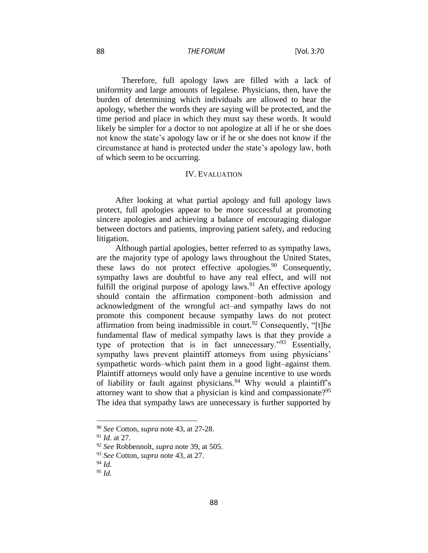#### THE FORUM

Therefore, full apology laws are filled with a lack of uniformity and large amounts of legalese. Physicians, then, have the burden of determining which individuals are allowed to hear the apology, whether the words they are saying will be protected, and the time period and place in which they must say these words. It would likely be simpler for a doctor to not apologize at all if he or she does not know the state's apology law or if he or she does not know if the circumstance at hand is protected under the state's apology law, both of which seem to be occurring.

#### IV. EVALUATION

After looking at what partial apology and full apology laws protect, full apologies appear to be more successful at promoting sincere apologies and achieving a balance of encouraging dialogue between doctors and patients, improving patient safety, and reducing litigation.

Although partial apologies, better referred to as sympathy laws, are the majority type of apology laws throughout the United States, these laws do not protect effective apologies. $90$  Consequently, sympathy laws are doubtful to have any real effect, and will not fulfill the original purpose of apology laws.<sup>91</sup> An effective apology should contain the affirmation component–both admission and acknowledgment of the wrongful act–and sympathy laws do not promote this component because sympathy laws do not protect affirmation from being inadmissible in court.<sup>92</sup> Consequently, "[t]he fundamental flaw of medical sympathy laws is that they provide a type of protection that is in fact unnecessary."<sup>93</sup> Essentially, sympathy laws prevent plaintiff attorneys from using physicians' sympathetic words–which paint them in a good light–against them. Plaintiff attorneys would only have a genuine incentive to use words of liability or fault against physicians.<sup>94</sup> Why would a plaintiff's attorney want to show that a physician is kind and compassionate?<sup>95</sup> The idea that sympathy laws are unnecessary is further supported by

<sup>90</sup> *See* Cotton, *supra* note 43, at 27-28.

<sup>91</sup> *Id*. at 27.

<sup>92</sup> *See* Robbennolt, *supra* note 39, at 505.

<sup>93</sup> *See* Cotton, *supra* note 43, at 27.

<sup>94</sup> *Id.*

<sup>95</sup> *Id.*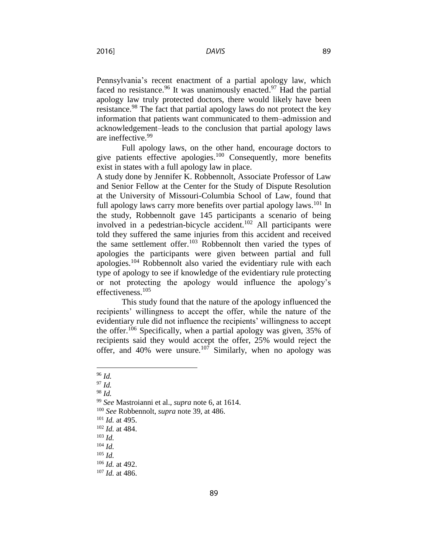2016]

Pennsylvania's recent enactment of a partial apology law, which faced no resistance.<sup>96</sup> It was unanimously enacted.<sup>97</sup> Had the partial apology law truly protected doctors, there would likely have been resistance.<sup>98</sup> The fact that partial apology laws do not protect the key information that patients want communicated to them–admission and acknowledgement–leads to the conclusion that partial apology laws are ineffective.<sup>99</sup>

Full apology laws, on the other hand, encourage doctors to give patients effective apologies. $100$  Consequently, more benefits exist in states with a full apology law in place.

A study done by Jennifer K. Robbennolt, Associate Professor of Law and Senior Fellow at the Center for the Study of Dispute Resolution at the University of Missouri-Columbia School of Law, found that full apology laws carry more benefits over partial apology laws.<sup>101</sup> In the study, Robbennolt gave 145 participants a scenario of being involved in a pedestrian-bicycle accident.<sup>102</sup> All participants were told they suffered the same injuries from this accident and received the same settlement offer.<sup>103</sup> Robbennolt then varied the types of apologies the participants were given between partial and full apologies.<sup>104</sup> Robbennolt also varied the evidentiary rule with each type of apology to see if knowledge of the evidentiary rule protecting or not protecting the apology would influence the apology's effectiveness.<sup>105</sup>

This study found that the nature of the apology influenced the recipients' willingness to accept the offer, while the nature of the evidentiary rule did not influence the recipients' willingness to accept the offer.<sup>106</sup> Specifically, when a partial apology was given,  $35\%$  of recipients said they would accept the offer, 25% would reject the offer, and 40% were unsure.<sup>107</sup> Similarly, when no apology was

 $\overline{a}$ 

<sup>98</sup> *Id.*

<sup>96</sup> *Id.*

<sup>97</sup> *Id.*

<sup>99</sup> *See* Mastroianni et al., *supra* note 6, at 1614.

<sup>100</sup> *See* Robbennolt, *supra* note 39, at 486.

<sup>101</sup> *Id.* at 495.

<sup>102</sup> *Id.* at 484.

<sup>103</sup> *Id.*

<sup>104</sup> *Id.*

<sup>105</sup> *Id.*

<sup>106</sup> *Id.* at 492.

<sup>107</sup> *Id.* at 486.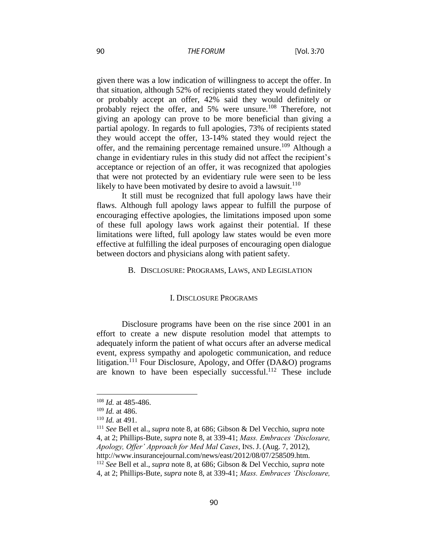#### **THE FORUM**

given there was a low indication of willingness to accept the offer. In that situation, although 52% of recipients stated they would definitely or probably accept an offer, 42% said they would definitely or probably reject the offer, and 5% were unsure.<sup>108</sup> Therefore, not giving an apology can prove to be more beneficial than giving a partial apology. In regards to full apologies, 73% of recipients stated they would accept the offer, 13-14% stated they would reject the offer, and the remaining percentage remained unsure.<sup>109</sup> Although a change in evidentiary rules in this study did not affect the recipient's acceptance or rejection of an offer, it was recognized that apologies that were not protected by an evidentiary rule were seen to be less likely to have been motivated by desire to avoid a lawsuit.<sup>110</sup>

It still must be recognized that full apology laws have their flaws. Although full apology laws appear to fulfill the purpose of encouraging effective apologies, the limitations imposed upon some of these full apology laws work against their potential. If these limitations were lifted, full apology law states would be even more effective at fulfilling the ideal purposes of encouraging open dialogue between doctors and physicians along with patient safety.

#### B. DISCLOSURE: PROGRAMS, LAWS, AND LEGISLATION

#### I. DISCLOSURE PROGRAMS

Disclosure programs have been on the rise since 2001 in an effort to create a new dispute resolution model that attempts to adequately inform the patient of what occurs after an adverse medical event, express sympathy and apologetic communication, and reduce litigation.<sup>111</sup> Four Disclosure, Apology, and Offer (DA&O) programs are known to have been especially successful.<sup>112</sup> These include

 $\overline{a}$ 

<sup>112</sup> *See* Bell et al., *supra* note 8, at 686; Gibson & Del Vecchio, *supra* note

<sup>108</sup> *Id.* at 485-486.

<sup>109</sup> *Id.* at 486.

<sup>110</sup> *Id.* at 491.

<sup>111</sup> *See* Bell et al., *supra* note 8, at 686; Gibson & Del Vecchio, *supra* note 4, at 2; Phillips-Bute, *supra* note 8, at 339-41; *Mass. Embraces 'Disclosure, Apology, Offer' Approach for Med Mal Cases*, INS. J. (Aug. 7, 2012), http://www.insurancejournal.com/news/east/2012/08/07/258509.htm.

<sup>4,</sup> at 2; Phillips-Bute, *supra* note 8, at 339-41; *Mass. Embraces 'Disclosure,*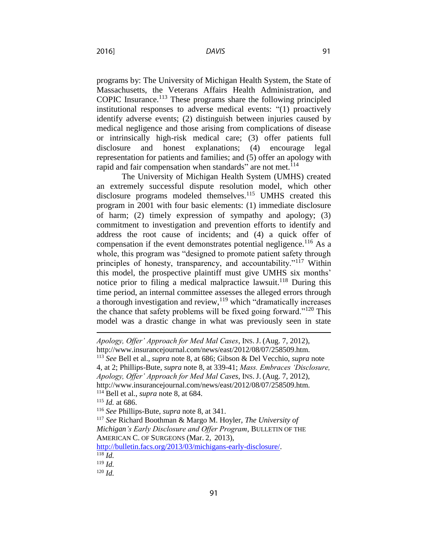2016]

programs by: The University of Michigan Health System, the State of Massachusetts, the Veterans Affairs Health Administration, and COPIC Insurance. <sup>113</sup> These programs share the following principled institutional responses to adverse medical events: "(1) proactively identify adverse events; (2) distinguish between injuries caused by medical negligence and those arising from complications of disease or intrinsically high-risk medical care; (3) offer patients full disclosure and honest explanations; (4) encourage legal representation for patients and families; and (5) offer an apology with rapid and fair compensation when standards" are not met.<sup>114</sup>

The University of Michigan Health System (UMHS) created an extremely successful dispute resolution model, which other disclosure programs modeled themselves.<sup>115</sup> UMHS created this program in 2001 with four basic elements: (1) immediate disclosure of harm; (2) timely expression of sympathy and apology; (3) commitment to investigation and prevention efforts to identify and address the root cause of incidents; and (4) a quick offer of compensation if the event demonstrates potential negligence.<sup>116</sup> As a whole, this program was "designed to promote patient safety through principles of honesty, transparency, and accountability."<sup>117</sup> Within this model, the prospective plaintiff must give UMHS six months' notice prior to filing a medical malpractice lawsuit.<sup>118</sup> During this time period, an internal committee assesses the alleged errors through a thorough investigation and review,  $119$  which "dramatically increases" the chance that safety problems will be fixed going forward."<sup>120</sup> This model was a drastic change in what was previously seen in state

**.** 

*Apology, Offer' Approach for Med Mal Cases*, INS. J. (Aug. 7, 2012), http://www.insurancejournal.com/news/east/2012/08/07/258509.htm. <sup>113</sup> *See* Bell et al., *supra* note 8, at 686; Gibson & Del Vecchio, *supra* note 4, at 2; Phillips-Bute, *supra* note 8, at 339-41; *Mass. Embraces 'Disclosure, Apology, Offer' Approach for Med Mal Cases*, INS. J. (Aug. 7, 2012), http://www.insurancejournal.com/news/east/2012/08/07/258509.htm. <sup>114</sup> Bell et al., *supra* note 8, at 684. <sup>115</sup> *Id.* at 686. <sup>116</sup> *See* Phillips-Bute, *supra* note 8, at 341. <sup>117</sup> *See* Richard Boothman & Margo M. Hoyler, *The University of Michigan's Early Disclosure and Offer Program*, BULLETIN OF THE AMERICAN C. OF SURGEONS (Mar. 2, 2013), [http://bulletin.facs.org/2013/03/michigans-early-disclosure/.](http://bulletin.facs.org/2013/03/michigans-early-disclosure/)  $118$  *Id.* 

<sup>119</sup> *Id.*

<sup>120</sup> *Id.*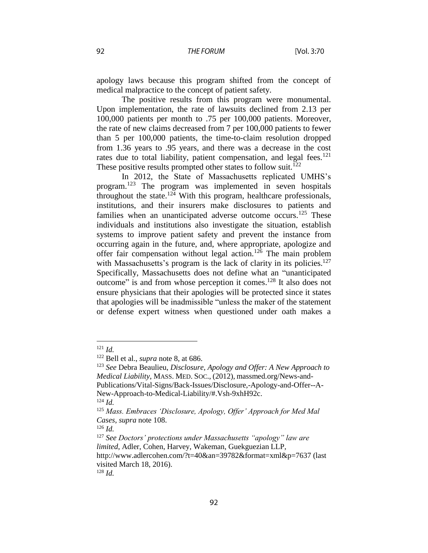apology laws because this program shifted from the concept of medical malpractice to the concept of patient safety.

The positive results from this program were monumental. Upon implementation, the rate of lawsuits declined from 2.13 per 100,000 patients per month to .75 per 100,000 patients. Moreover, the rate of new claims decreased from 7 per 100,000 patients to fewer than 5 per 100,000 patients, the time-to-claim resolution dropped from 1.36 years to .95 years, and there was a decrease in the cost rates due to total liability, patient compensation, and legal fees. $121$ These positive results prompted other states to follow suit.<sup>122</sup>

In 2012, the State of Massachusetts replicated UMHS's program.<sup>123</sup> The program was implemented in seven hospitals throughout the state.<sup>124</sup> With this program, healthcare professionals, institutions, and their insurers make disclosures to patients and families when an unanticipated adverse outcome occurs.<sup>125</sup> These individuals and institutions also investigate the situation, establish systems to improve patient safety and prevent the instance from occurring again in the future, and, where appropriate, apologize and offer fair compensation without legal action.<sup>126</sup> The main problem with Massachusetts's program is the lack of clarity in its policies.<sup>127</sup> Specifically, Massachusetts does not define what an "unanticipated outcome" is and from whose perception it comes. <sup>128</sup> It also does not ensure physicians that their apologies will be protected since it states that apologies will be inadmissible "unless the maker of the statement or defense expert witness when questioned under oath makes a

 $121$  *Id.* 

<sup>122</sup> Bell et al., *supra* note 8, at 686.

<sup>123</sup> *See* Debra Beaulieu, *Disclosure, Apology and Offer: A New Approach to Medical Liability*, MASS. MED. SOC., (2012), massmed.org/News-and-Publications/Vital-Signs/Back-Issues/Disclosure,-Apology-and-Offer--A-New-Approach-to-Medical-Liability/#.Vsh-9xhH92c.

<sup>124</sup> *Id.*

<sup>125</sup> *Mass. Embraces 'Disclosure, Apology, Offer' Approach for Med Mal Cases*, *supra* note 108.

<sup>126</sup> *Id.*

<sup>127</sup> *See Doctors' protections under Massachusetts "apology" law are limited*, Adler, Cohen, Harvey, Wakeman, Guekguezian LLP, http://www.adlercohen.com/?t=40&an=39782&format=xml&p=7637 (last visited March 18, 2016). <sup>128</sup> *Id.*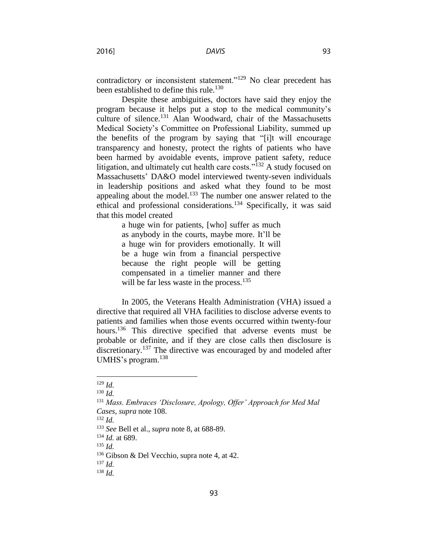contradictory or inconsistent statement."<sup>129</sup> No clear precedent has been established to define this rule.<sup>130</sup>

Despite these ambiguities, doctors have said they enjoy the program because it helps put a stop to the medical community's culture of silence. <sup>131</sup> Alan Woodward, chair of the Massachusetts Medical Society's Committee on Professional Liability, summed up the benefits of the program by saying that "[i]t will encourage transparency and honesty, protect the rights of patients who have been harmed by avoidable events, improve patient safety, reduce litigation, and ultimately cut health care costs."<sup>132</sup> A study focused on Massachusetts' DA&O model interviewed twenty-seven individuals in leadership positions and asked what they found to be most appealing about the model.<sup>133</sup> The number one answer related to the ethical and professional considerations.<sup>134</sup> Specifically, it was said that this model created

> a huge win for patients, [who] suffer as much as anybody in the courts, maybe more. It'll be a huge win for providers emotionally. It will be a huge win from a financial perspective because the right people will be getting compensated in a timelier manner and there will be far less waste in the process.<sup>135</sup>

In 2005, the Veterans Health Administration (VHA) issued a directive that required all VHA facilities to disclose adverse events to patients and families when those events occurred within twenty-four hours.<sup>136</sup> This directive specified that adverse events must be probable or definite, and if they are close calls then disclosure is discretionary.<sup>137</sup> The directive was encouraged by and modeled after UMHS's program.<sup>138</sup>

<sup>129</sup> *Id.*

<sup>130</sup> *Id.*

<sup>131</sup> *Mass. Embraces 'Disclosure, Apology, Offer' Approach for Med Mal Cases*, *supra* note 108.

<sup>132</sup> *Id.*

<sup>133</sup> *See* Bell et al., *supra* note 8, at 688-89.

<sup>134</sup> *Id.* at 689.

<sup>135</sup> *Id.*

<sup>&</sup>lt;sup>136</sup> Gibson & Del Vecchio, supra note 4, at 42.

<sup>137</sup> *Id.*

<sup>138</sup> *Id.*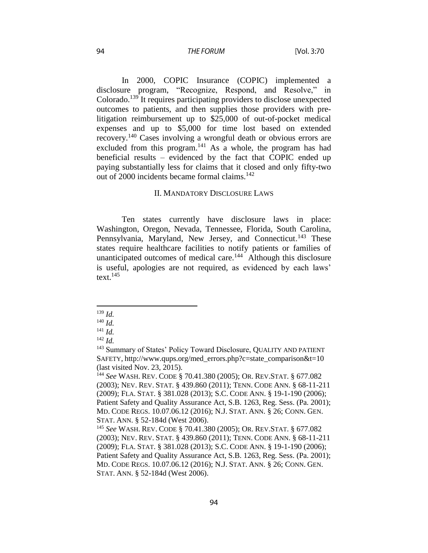#### **THE FORUM**

In 2000, COPIC Insurance (COPIC) implemented a disclosure program, "Recognize, Respond, and Resolve," in Colorado.<sup>139</sup> It requires participating providers to disclose unexpected outcomes to patients, and then supplies those providers with prelitigation reimbursement up to \$25,000 of out-of-pocket medical expenses and up to \$5,000 for time lost based on extended recovery.<sup>140</sup> Cases involving a wrongful death or obvious errors are excluded from this program.<sup>141</sup> As a whole, the program has had beneficial results – evidenced by the fact that COPIC ended up paying substantially less for claims that it closed and only fifty-two out of 2000 incidents became formal claims. $142$ 

#### II. MANDATORY DISCLOSURE LAWS

Ten states currently have disclosure laws in place: Washington, Oregon, Nevada, Tennessee, Florida, South Carolina, Pennsylvania, Maryland, New Jersey, and Connecticut.<sup>143</sup> These states require healthcare facilities to notify patients or families of unanticipated outcomes of medical care.<sup>144</sup> Although this disclosure is useful, apologies are not required, as evidenced by each laws' text. 145

<sup>139</sup> *Id.*

<sup>140</sup> *Id.*

<sup>141</sup> *Id.*

 $^{142}$  *Id.* 

<sup>&</sup>lt;sup>143</sup> Summary of States' Policy Toward Disclosure, QUALITY AND PATIENT SAFETY, http://www.qups.org/med\_errors.php?c=state\_comparison&t=10 (last visited Nov. 23, 2015).

<sup>144</sup> *See* WASH. REV. CODE § 70.41.380 (2005); OR. REV.STAT. § 677.082 (2003); NEV. REV. STAT. § 439.860 (2011); TENN. CODE ANN. § 68-11-211 (2009); FLA. STAT. § 381.028 (2013); S.C. CODE ANN. § 19-1-190 (2006); Patient Safety and Quality Assurance Act, S.B. 1263, Reg. Sess. (Pa. 2001); MD. CODE REGS. 10.07.06.12 (2016); N.J. STAT. ANN. § 26; CONN. GEN. STAT. ANN. § 52-184d (West 2006).

<sup>145</sup> *See* WASH. REV. CODE § 70.41.380 (2005); OR. REV.STAT. § 677.082 (2003); NEV. REV. STAT. § 439.860 (2011); TENN. CODE ANN. § 68-11-211 (2009); FLA. STAT. § 381.028 (2013); S.C. CODE ANN. § 19-1-190 (2006); Patient Safety and Quality Assurance Act, S.B. 1263, Reg. Sess. (Pa. 2001); MD. CODE REGS. 10.07.06.12 (2016); N.J. STAT. ANN. § 26; CONN. GEN. STAT. ANN. § 52-184d (West 2006).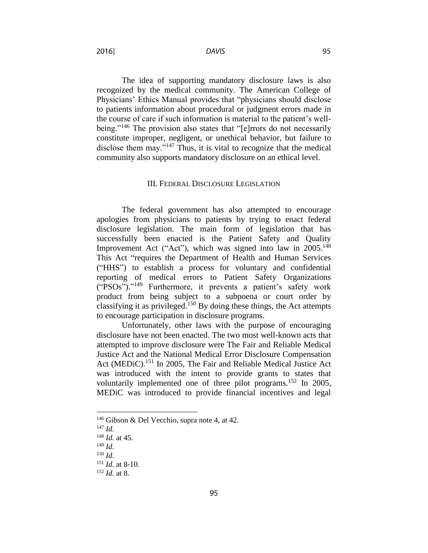**DAVIS** 

2016]

The idea of supporting mandatory disclosure laws is also recognized by the medical community. The American College of Physicians' Ethics Manual provides that "physicians should disclose to patients information about procedural or judgment errors made in the course of care if such information is material to the patient's wellbeing."<sup>146</sup> The provision also states that "[e]rrors do not necessarily constitute improper, negligent, or unethical behavior, but failure to disclose them may."<sup>147</sup> Thus, it is vital to recognize that the medical community also supports mandatory disclosure on an ethical level.

#### III. FEDERAL DISCLOSURE LEGISLATION

The federal government has also attempted to encourage apologies from physicians to patients by trying to enact federal disclosure legislation. The main form of legislation that has successfully been enacted is the Patient Safety and Quality Improvement Act ("Act"), which was signed into law in  $2005$ .<sup>148</sup> This Act "requires the Department of Health and Human Services ("HHS") to establish a process for voluntary and confidential reporting of medical errors to Patient Safety Organizations ("PSOs")." <sup>149</sup> Furthermore, it prevents a patient's safety work product from being subject to a subpoena or court order by classifying it as privileged.<sup>150</sup> By doing these things, the Act attempts to encourage participation in disclosure programs.

Unfortunately, other laws with the purpose of encouraging disclosure have not been enacted. The two most well-known acts that attempted to improve disclosure were The Fair and Reliable Medical Justice Act and the National Medical Error Disclosure Compensation Act (MEDiC).<sup>151</sup> In 2005, The Fair and Reliable Medical Justice Act was introduced with the intent to provide grants to states that voluntarily implemented one of three pilot programs.<sup>152</sup> In 2005, MEDiC was introduced to provide financial incentives and legal

<sup>147</sup> *Id.*

<sup>146</sup> Gibson & Del Vecchio, supra note 4, at 42.

<sup>148</sup> *Id.* at 45.

<sup>149</sup> *Id.*

<sup>150</sup> *Id.*

<sup>151</sup> *Id.* at 8-10.

<sup>152</sup> *Id.* at 8.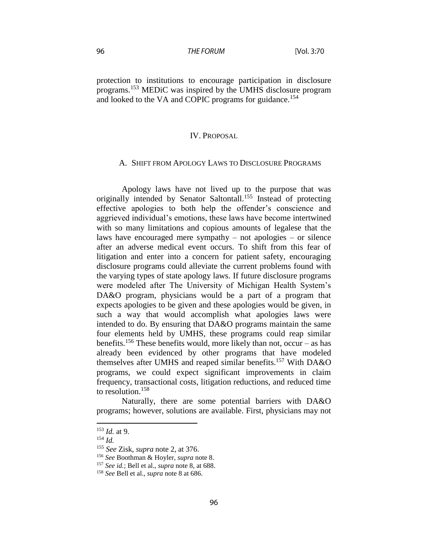protection to institutions to encourage participation in disclosure programs.<sup>153</sup> MED<sub>i</sub>C was inspired by the UMHS disclosure program and looked to the VA and COPIC programs for guidance.<sup>154</sup>

#### IV. PROPOSAL

#### A. SHIFT FROM APOLOGY LAWS TO DISCLOSURE PROGRAMS

Apology laws have not lived up to the purpose that was originally intended by Senator Saltontall.<sup>155</sup> Instead of protecting effective apologies to both help the offender's conscience and aggrieved individual's emotions, these laws have become intertwined with so many limitations and copious amounts of legalese that the laws have encouraged mere sympathy – not apologies – or silence after an adverse medical event occurs. To shift from this fear of litigation and enter into a concern for patient safety, encouraging disclosure programs could alleviate the current problems found with the varying types of state apology laws. If future disclosure programs were modeled after The University of Michigan Health System's DA&O program, physicians would be a part of a program that expects apologies to be given and these apologies would be given, in such a way that would accomplish what apologies laws were intended to do. By ensuring that DA&O programs maintain the same four elements held by UMHS, these programs could reap similar benefits.<sup>156</sup> These benefits would, more likely than not, occur – as has already been evidenced by other programs that have modeled themselves after UMHS and reaped similar benefits.<sup>157</sup> With DA&O programs, we could expect significant improvements in claim frequency, transactional costs, litigation reductions, and reduced time to resolution.<sup>158</sup>

Naturally, there are some potential barriers with DA&O programs; however, solutions are available. First, physicians may not

 $\overline{a}$ 

96

<sup>153</sup> *Id.* at 9.

<sup>154</sup> *Id.*

<sup>155</sup> *See* Zisk, *supra* note 2, at 376.

<sup>156</sup> *See* Boothman & Hoyler, *supra* note 8.

<sup>157</sup> *See id.*; Bell et al., *supra* note 8, at 688.

<sup>158</sup> *See* Bell et al., *supra* note 8 at 686.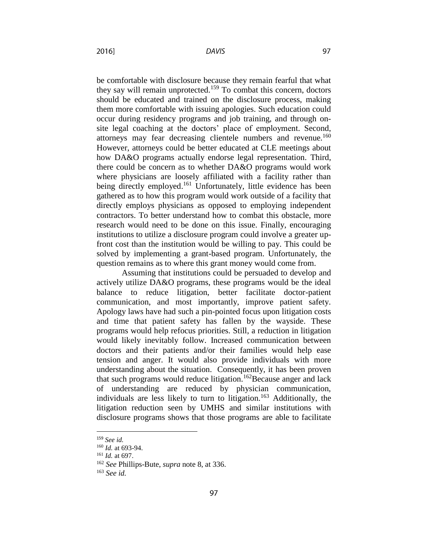2016]

be comfortable with disclosure because they remain fearful that what they say will remain unprotected.<sup>159</sup> To combat this concern, doctors should be educated and trained on the disclosure process, making them more comfortable with issuing apologies. Such education could occur during residency programs and job training, and through onsite legal coaching at the doctors' place of employment. Second, attorneys may fear decreasing clientele numbers and revenue.<sup>160</sup> However, attorneys could be better educated at CLE meetings about how DA&O programs actually endorse legal representation. Third, there could be concern as to whether DA&O programs would work where physicians are loosely affiliated with a facility rather than being directly employed.<sup>161</sup> Unfortunately, little evidence has been gathered as to how this program would work outside of a facility that directly employs physicians as opposed to employing independent contractors. To better understand how to combat this obstacle, more research would need to be done on this issue. Finally, encouraging institutions to utilize a disclosure program could involve a greater upfront cost than the institution would be willing to pay. This could be solved by implementing a grant-based program. Unfortunately, the question remains as to where this grant money would come from.

Assuming that institutions could be persuaded to develop and actively utilize DA&O programs, these programs would be the ideal balance to reduce litigation, better facilitate doctor-patient communication, and most importantly, improve patient safety. Apology laws have had such a pin-pointed focus upon litigation costs and time that patient safety has fallen by the wayside. These programs would help refocus priorities. Still, a reduction in litigation would likely inevitably follow. Increased communication between doctors and their patients and/or their families would help ease tension and anger. It would also provide individuals with more understanding about the situation. Consequently, it has been proven that such programs would reduce litigation.<sup>162</sup>Because anger and lack of understanding are reduced by physician communication, individuals are less likely to turn to litigation.<sup>163</sup> Additionally, the litigation reduction seen by UMHS and similar institutions with disclosure programs shows that those programs are able to facilitate

 $\overline{a}$ 

97

<sup>159</sup> *See id.*

<sup>160</sup> *Id.* at 693-94.

<sup>161</sup> *Id.* at 697.

<sup>162</sup> *See* Phillips-Bute, *supra* note 8, at 336.

<sup>163</sup> *See id.*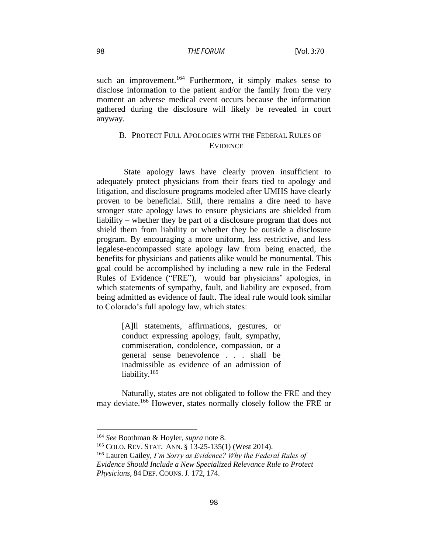such an improvement.<sup>164</sup> Furthermore, it simply makes sense to disclose information to the patient and/or the family from the very moment an adverse medical event occurs because the information gathered during the disclosure will likely be revealed in court anyway.

## B. PROTECT FULL APOLOGIES WITH THE FEDERAL RULES OF **EVIDENCE**

State apology laws have clearly proven insufficient to adequately protect physicians from their fears tied to apology and litigation, and disclosure programs modeled after UMHS have clearly proven to be beneficial. Still, there remains a dire need to have stronger state apology laws to ensure physicians are shielded from liability – whether they be part of a disclosure program that does not shield them from liability or whether they be outside a disclosure program. By encouraging a more uniform, less restrictive, and less legalese-encompassed state apology law from being enacted, the benefits for physicians and patients alike would be monumental. This goal could be accomplished by including a new rule in the Federal Rules of Evidence ("FRE"), would bar physicians' apologies, in which statements of sympathy, fault, and liability are exposed, from being admitted as evidence of fault. The ideal rule would look similar to Colorado's full apology law, which states:

> [A]ll statements, affirmations, gestures, or conduct expressing apology, fault, sympathy, commiseration, condolence, compassion, or a general sense benevolence . . . shall be inadmissible as evidence of an admission of liability.<sup>165</sup>

Naturally, states are not obligated to follow the FRE and they may deviate.<sup>166</sup> However, states normally closely follow the FRE or

<sup>164</sup> *See* Boothman & Hoyler, *supra* note 8.

<sup>165</sup> COLO. REV. STAT. ANN. § 13-25-135(1) (West 2014).

<sup>166</sup> Lauren Gailey*, I'm Sorry as Evidence? Why the Federal Rules of* 

*Evidence Should Include a New Specialized Relevance Rule to Protect Physicians*, 84 DEF. COUNS. J. 172, 174.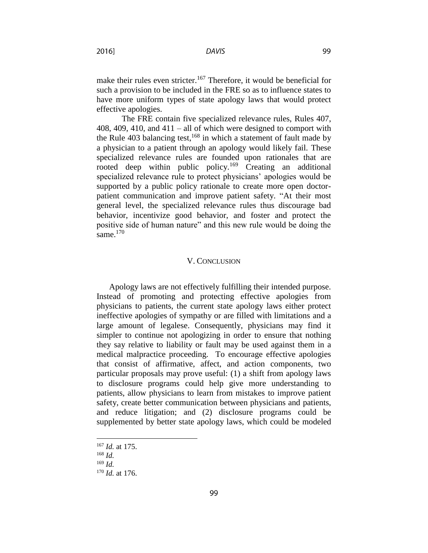make their rules even stricter.<sup>167</sup> Therefore, it would be beneficial for such a provision to be included in the FRE so as to influence states to have more uniform types of state apology laws that would protect effective apologies.

The FRE contain five specialized relevance rules, Rules 407, 408, 409, 410, and 411 – all of which were designed to comport with the Rule 403 balancing test,  $168$  in which a statement of fault made by a physician to a patient through an apology would likely fail. These specialized relevance rules are founded upon rationales that are rooted deep within public policy.<sup>169</sup> Creating an additional specialized relevance rule to protect physicians' apologies would be supported by a public policy rationale to create more open doctorpatient communication and improve patient safety. "At their most general level, the specialized relevance rules thus discourage bad behavior, incentivize good behavior, and foster and protect the positive side of human nature" and this new rule would be doing the same. $170$ 

#### V. CONCLUSION

Apology laws are not effectively fulfilling their intended purpose. Instead of promoting and protecting effective apologies from physicians to patients, the current state apology laws either protect ineffective apologies of sympathy or are filled with limitations and a large amount of legalese. Consequently, physicians may find it simpler to continue not apologizing in order to ensure that nothing they say relative to liability or fault may be used against them in a medical malpractice proceeding. To encourage effective apologies that consist of affirmative, affect, and action components, two particular proposals may prove useful: (1) a shift from apology laws to disclosure programs could help give more understanding to patients, allow physicians to learn from mistakes to improve patient safety, create better communication between physicians and patients, and reduce litigation; and (2) disclosure programs could be supplemented by better state apology laws, which could be modeled

<sup>167</sup> *Id.* at 175.

<sup>168</sup> *Id.*

<sup>169</sup> *Id.*

<sup>170</sup> *Id.* at 176.